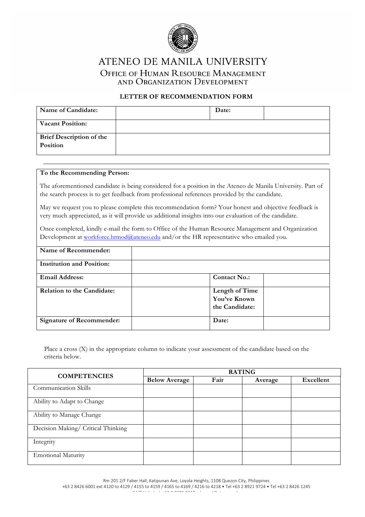

ATENEO DE MANILA UNIVERSITY OFFICE OF HUMAN RESOURCE MANAGEMENT AND ORGANIZATION DEVELOPMENT

## **LETTER OF RECOMMENDATION FORM**

| Name of Candidate:                                 | Date: |  |
|----------------------------------------------------|-------|--|
| <b>Vacant Position:</b>                            |       |  |
| <b>Brief Description of the</b><br><b>Position</b> |       |  |

## **To the Recommending Person:**

The aforementioned candidate is being considered for a position in the Ateneo de Manila University. Part of the search process is to get feedback from professional references provided by the candidate.

May we request you to please complete this recommendation form? Your honest and objective feedback is very much appreciated, as it will provide us additional insights into our evaluation of the candidate.

Once completed, kindly e-mail the form to Office of the Human Resource Management and Organization Development at workforce.hrmod@ateneo.edu and/or the HR representative who emailed you.

| Name of Recommender:              |                                                  |  |
|-----------------------------------|--------------------------------------------------|--|
| <b>Institution and Position:</b>  |                                                  |  |
| <b>Email Address:</b>             | <b>Contact No.:</b>                              |  |
| <b>Relation to the Candidate:</b> | Length of Time<br>You've Known<br>the Candidate: |  |
| <b>Signature of Recommender:</b>  | Date:                                            |  |

Place a cross (X) in the appropriate column to indicate your assessment of the candidate based on the criteria below.

| <b>COMPETENCIES</b>                | <b>RATING</b>        |      |         |           |  |
|------------------------------------|----------------------|------|---------|-----------|--|
|                                    | <b>Below Average</b> | Fair | Average | Excellent |  |
| <b>Communication Skills</b>        |                      |      |         |           |  |
| Ability to Adapt to Change         |                      |      |         |           |  |
| Ability to Manage Change           |                      |      |         |           |  |
| Decision Making/ Critical Thinking |                      |      |         |           |  |
| Integrity                          |                      |      |         |           |  |
| <b>Emotional Maturity</b>          |                      |      |         |           |  |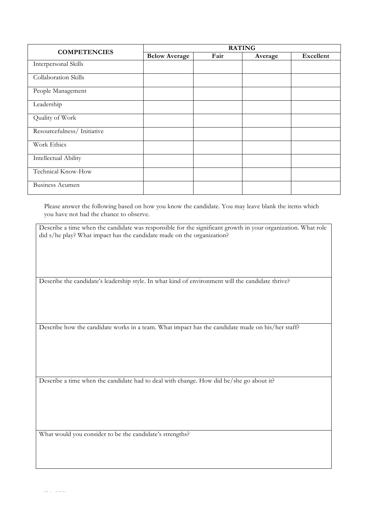| <b>COMPETENCIES</b>         | <b>RATING</b>        |      |         |                  |
|-----------------------------|----------------------|------|---------|------------------|
|                             | <b>Below Average</b> | Fair | Average | <b>Excellent</b> |
| Interpersonal Skills        |                      |      |         |                  |
| <b>Collaboration Skills</b> |                      |      |         |                  |
| People Management           |                      |      |         |                  |
| Leadership                  |                      |      |         |                  |
| Quality of Work             |                      |      |         |                  |
| Resourcefulness/Initiative  |                      |      |         |                  |
| Work Ethics                 |                      |      |         |                  |
| Intellectual Ability        |                      |      |         |                  |
| Technical Know-How          |                      |      |         |                  |
| <b>Business Acumen</b>      |                      |      |         |                  |

Please answer the following based on how you know the candidate. You may leave blank the items which you have not had the chance to observe.

Describe a time when the candidate was responsible for the significant growth in your organization. What role did s/he play? What impact has the candidate made on the organization?

Describe the candidate's leadership style. In what kind of environment will the candidate thrive?

Describe how the candidate works in a team. What impact has the candidate made on his/her staff?

Describe a time when the candidate had to deal with change. How did he/she go about it?

What would you consider to be the candidate's strengths?